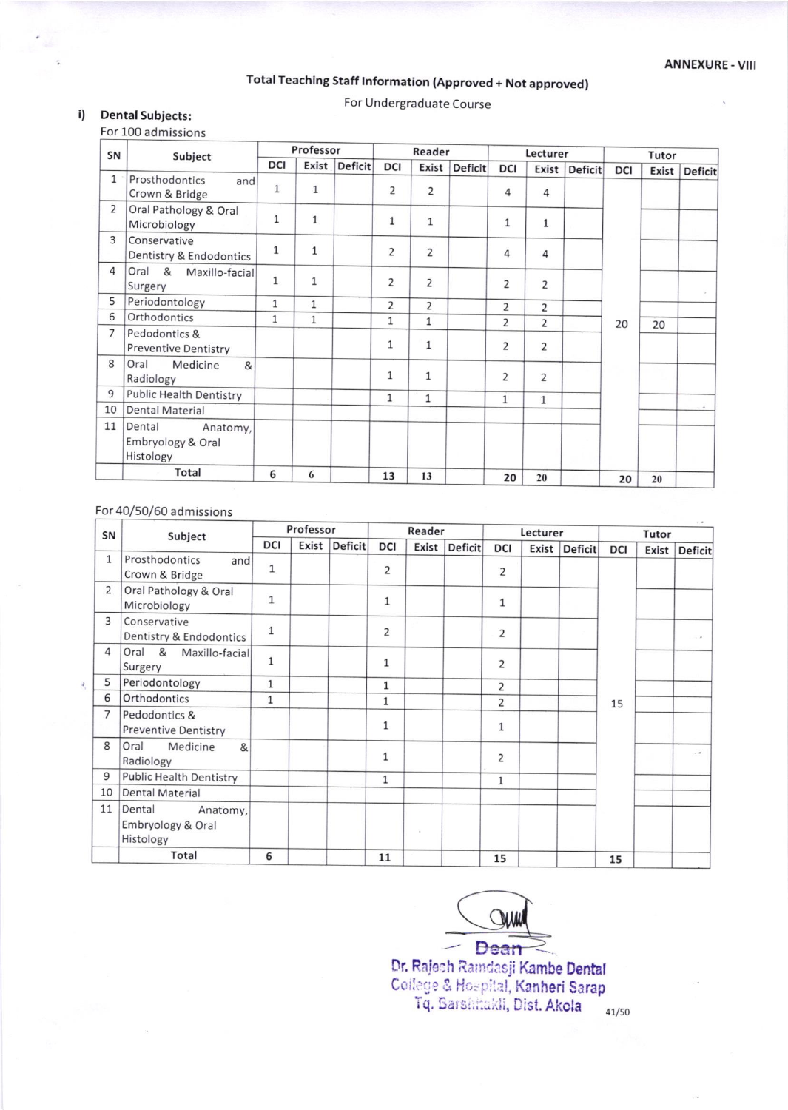# Total Teaching Staff Information (Approved + Not approved)

For Undergraduate Course

#### $i)$ **Dental Subjects:**

For 100 admissions

| SN             | Subject                                              |              | Professor    |                | Reader         |                |                | Lecturer       |                |                | Tutor      |       |                |
|----------------|------------------------------------------------------|--------------|--------------|----------------|----------------|----------------|----------------|----------------|----------------|----------------|------------|-------|----------------|
|                |                                                      | DCI          | Exist        | <b>Deficit</b> | DCI            | Exist          | <b>Deficit</b> | <b>DCI</b>     | Exist          | <b>Deficit</b> | <b>DCI</b> | Exist | <b>Deficit</b> |
| $\mathbf{1}$   | Prosthodontics<br>and<br>Crown & Bridge              | $\mathbf{1}$ | $\mathbf{1}$ |                | $\overline{2}$ | 2              |                | 4              | $\overline{4}$ |                |            |       |                |
| $\overline{2}$ | Oral Pathology & Oral<br>Microbiology                | $\mathbf{1}$ | $\mathbf{1}$ |                | $\mathbf{1}$   | 1              |                | $\mathbf{1}$   | 1              |                |            |       |                |
| 3              | Conservative<br>Dentistry & Endodontics              | $\mathbf{1}$ | $\mathbf 1$  |                | $\overline{2}$ | 2              |                | 4              | 4              |                |            |       |                |
| 4              | Oral<br>$\mathcal{R}$<br>Maxillo-facial<br>Surgery   | $\mathbf{1}$ | $\mathbf{1}$ |                | 2              | $\overline{2}$ |                | $\overline{2}$ | 2              |                |            |       |                |
| 5              | Periodontology                                       | $\mathbf{1}$ | $\mathbf{1}$ |                | 2              | $\overline{2}$ |                | $\overline{2}$ | $\overline{2}$ |                |            |       |                |
| 6              | Orthodontics                                         | $\mathbf{1}$ | $\mathbf{1}$ |                | $\mathbf{1}$   | $\mathbf{1}$   |                | $\overline{2}$ | $\overline{2}$ |                | 20         | 20    |                |
| $\overline{7}$ | Pedodontics &<br><b>Preventive Dentistry</b>         |              |              |                | $\mathbf{1}$   | $\mathbf{1}$   |                | $\overline{2}$ | 2              |                |            |       |                |
| 8              | Oral<br>Medicine<br>&<br>Radiology                   |              |              |                | $\mathbf{1}$   | $\mathbf{1}$   |                | $\overline{2}$ | 2              |                |            |       |                |
| 9              | <b>Public Health Dentistry</b>                       |              |              |                | $\mathbf{1}$   | $\mathbf{1}$   |                | 1              | $\mathbf{1}$   |                |            |       |                |
| 10             | <b>Dental Material</b>                               |              |              |                |                |                |                |                |                |                |            |       |                |
| 11             | Dental<br>Anatomy,<br>Embryology & Oral<br>Histology |              |              |                |                |                |                |                |                |                |            |       |                |
|                | Total                                                | 6            | 6            |                | 13             | 13             |                | 20             | 20             |                | 20         | 20    |                |

## For 40/50/60 admissions

| SN             | Subject                                              | Professor    |       |                | Reader         |       | Lecturer       |                |       | Tutor          |            |       |                  |
|----------------|------------------------------------------------------|--------------|-------|----------------|----------------|-------|----------------|----------------|-------|----------------|------------|-------|------------------|
|                |                                                      | <b>DCI</b>   | Exist | <b>Deficit</b> | <b>DCI</b>     | Exist | <b>Deficit</b> | <b>DCI</b>     | Exist | <b>Deficit</b> | <b>DCI</b> | Exist | <b>Deficit</b>   |
| $\mathbf{1}$   | Prosthodontics<br>and<br>Crown & Bridge              | $\mathbf{1}$ |       |                | $\overline{2}$ |       |                | 2              |       |                |            |       |                  |
| 2              | Oral Pathology & Oral<br>Microbiology                | $\mathbf{1}$ |       |                | $\mathbf{1}$   |       |                | $\mathbf{1}$   |       |                |            |       |                  |
| 3              | Conservative<br>Dentistry & Endodontics              | $\mathbf{1}$ |       |                | 2              |       |                | $\overline{2}$ |       |                |            |       |                  |
| $\overline{4}$ | 8 <sup>2</sup><br>Oral<br>Maxillo-facial<br>Surgery  | $\mathbf{1}$ |       |                | 1              |       |                | $\overline{2}$ |       |                |            |       |                  |
| 5              | Periodontology                                       | 1            |       |                | $\mathbf{1}$   |       |                | $\overline{2}$ |       |                |            |       |                  |
| 6              | Orthodontics                                         | $\mathbf{1}$ |       |                | $\mathbf{1}$   |       |                | $\overline{2}$ |       |                | 15         |       |                  |
| $\overline{7}$ | Pedodontics &<br>Preventive Dentistry                |              |       |                | $\mathbf{1}$   |       |                | $\mathbf{1}$   |       |                |            |       |                  |
| 8              | Oral<br>Medicine<br>&<br>Radiology                   |              |       |                | $\mathbf{1}$   |       |                | $\overline{2}$ |       |                |            |       | $\sim$ $\bullet$ |
| 9              | <b>Public Health Dentistry</b>                       |              |       |                | 1              |       |                | $\mathbf{1}$   |       |                |            |       |                  |
| 10             | <b>Dental Material</b>                               |              |       |                |                |       |                |                |       |                |            |       |                  |
| 11             | Dental<br>Anatomy,<br>Embryology & Oral<br>Histology |              |       |                |                | ×     |                |                |       |                |            |       |                  |
|                | Total                                                | 6            |       |                | 11             |       |                | 15             |       |                | 15         |       |                  |

- Dean

Dr. Rajesh Raindasji Kambe Dental<br>College & Hospital, Kanheri Sarap<br>Tq. Barshitakli, Dist. Akola

41/50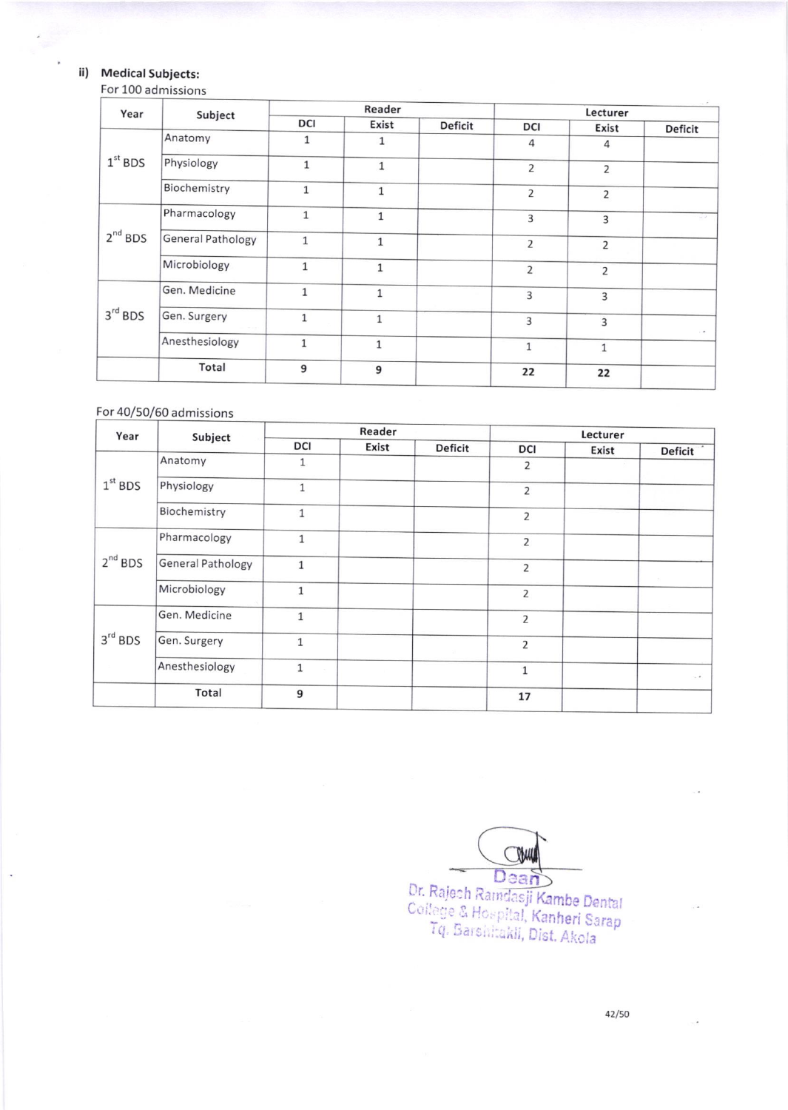## ii) Medical Subjects:

 $\ddot{\phantom{a}}$ 

#### For 100 admissions

| Year         | Subject                  |              | Reader       |                | $\label{eq:2.1} \begin{array}{ll} \mathcal{L}_{\mathcal{A}}(\mathcal{A}) & \mathcal{L}_{\mathcal{A}}(\mathcal{A}) \end{array}$<br>Lecturer |                |                      |  |  |
|--------------|--------------------------|--------------|--------------|----------------|--------------------------------------------------------------------------------------------------------------------------------------------|----------------|----------------------|--|--|
|              |                          | <b>DCI</b>   | Exist        | <b>Deficit</b> | <b>DCI</b>                                                                                                                                 | Exist          | <b>Deficit</b>       |  |  |
|              | Anatomy                  | $\mathbf{1}$ | $\mathbf{1}$ |                | 4                                                                                                                                          | 4              |                      |  |  |
| $1st$ BDS    | Physiology               | $\mathbf{1}$ | $\mathbf{1}$ |                | 2                                                                                                                                          | 2              |                      |  |  |
|              | Biochemistry             | $\mathbf{1}$ | 1            |                | $\overline{2}$                                                                                                                             | 2              |                      |  |  |
| $2^{nd}$ BDS | Pharmacology             | $\mathbf{1}$ | $\mathbf{1}$ |                | 3                                                                                                                                          | 3              | $\sim$ $\rightarrow$ |  |  |
|              | <b>General Pathology</b> | $\mathbf{1}$ | $\mathbf{1}$ |                | $\overline{2}$                                                                                                                             | $\overline{2}$ |                      |  |  |
|              | Microbiology             | $\mathbf{1}$ | $\mathbf{1}$ |                | $\overline{2}$                                                                                                                             | $\overline{2}$ |                      |  |  |
|              | Gen. Medicine            | $\mathbf{1}$ | $\mathbf{1}$ |                | 3                                                                                                                                          | 3              |                      |  |  |
| $3rd$ BDS    | Gen. Surgery             | $\mathbf{1}$ | $\mathbf{1}$ |                | 3                                                                                                                                          | $\overline{3}$ |                      |  |  |
|              | Anesthesiology           | $\mathbf{1}$ | $\mathbf{1}$ |                | $\mathbf{1}$                                                                                                                               | $\mathbf{1}$   | $\sim$ $\sigma$      |  |  |
|              | Total                    | 9            | 9            |                | 22                                                                                                                                         | 22             |                      |  |  |

#### For 40/50/60 admissions

| Year                | Subject                  |              | Reader |                | Lecturer       |       |                 |  |  |
|---------------------|--------------------------|--------------|--------|----------------|----------------|-------|-----------------|--|--|
|                     |                          | DCI          | Exist  | <b>Deficit</b> | <b>DCI</b>     | Exist | <b>Deficit</b>  |  |  |
|                     | Anatomy                  | 1            |        |                | 2              |       |                 |  |  |
| $1st$ BDS           | Physiology               | $\mathbf{1}$ |        |                | $\overline{2}$ |       |                 |  |  |
|                     | Biochemistry             | $\mathbf{1}$ |        |                | $\overline{2}$ |       |                 |  |  |
|                     | Pharmacology             | $\mathbf{1}$ |        |                | $\overline{2}$ |       |                 |  |  |
| $2^{nd}$ BDS        | <b>General Pathology</b> | $\mathbf{1}$ |        |                | $\overline{2}$ |       |                 |  |  |
|                     | Microbiology             | $\mathbf{1}$ |        |                | 2              |       |                 |  |  |
|                     | Gen. Medicine            | $\mathbf{1}$ |        |                | $\overline{2}$ |       |                 |  |  |
| $3^{\text{rd}}$ BDS | Gen. Surgery             | $\mathbf{1}$ |        |                | $\overline{2}$ |       |                 |  |  |
|                     | Anesthesiology           | $\mathbf{1}$ |        |                | $\mathbf{1}$   |       | $\sim$ $\sigma$ |  |  |
|                     | Total                    | 9            |        |                | 17             |       |                 |  |  |

CHA Dr. Rajesh Ramdasji Kambe Dental ege & Hospital, Kanheri Sarap<br>I.g. Barshitakli, Dist, Ahola

42/SO